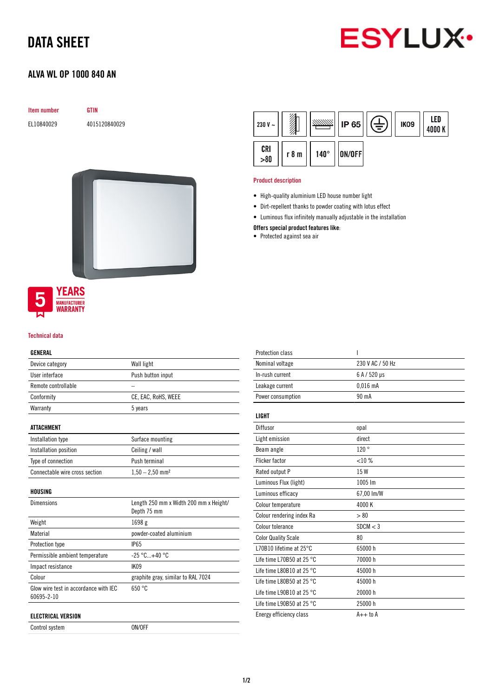## DATA SHEET



### ALVA WL OP 1000 840 AN

| <b>Item number</b> | GTIN          |  |
|--------------------|---------------|--|
| EL10840029         | 4015120840029 |  |



### **YEARS** MANUFACTURER<br>WARRANTY

#### Technical data

#### GENERAL

| Device category                                     | Wall light                                            |
|-----------------------------------------------------|-------------------------------------------------------|
| User interface                                      | Push button input                                     |
| Remote controllable                                 |                                                       |
| Conformity                                          | CE, EAC, RoHS, WEEE                                   |
| Warranty                                            | 5 years                                               |
| ATTACHMENT                                          |                                                       |
| Installation type                                   | Surface mounting                                      |
| Installation position                               | Ceiling / wall                                        |
| Type of connection                                  | Push terminal                                         |
| Connectable wire cross section                      | $1,50 - 2,50$ mm <sup>2</sup>                         |
| HOUSING                                             |                                                       |
| <b>Dimensions</b>                                   | Length 250 mm x Width 200 mm x Height/<br>Depth 75 mm |
| Weight                                              | 1698 g                                                |
| Material                                            | powder-coated aluminium                               |
| Protection type                                     | IP65                                                  |
| Permissible ambient temperature                     | $-25 °C + 40 °C$                                      |
| Impact resistance                                   | IK09                                                  |
| Colour                                              | graphite gray, similar to RAL 7024                    |
| Glow wire test in accordance with IEC<br>60695-2-10 | 650 °C                                                |
| <b>ELECTRICAL VERSION</b>                           |                                                       |
| Control system                                      | ON/OFF                                                |

| 230 V $\sim$ |       |             | <b>IP 65</b> | È | IK <sub>09</sub> | LED<br>4000 K |
|--------------|-------|-------------|--------------|---|------------------|---------------|
| CRI<br>>80   | r 8 m | $140^\circ$ | ON/OFF       |   |                  |               |

#### Product description

- High-quality aluminium LED house number light
- Dirt-repellent thanks to powder coating with lotus effect
- Luminous flux infinitely manually adjustable in the installation
- Offers special product features like:
- Protected against sea air

| <b>Protection class</b>             | I                |
|-------------------------------------|------------------|
| Nominal voltage                     | 230 V AC / 50 Hz |
| In-rush current                     | 6 A / 520 µs     |
| Leakage current                     | $0.016$ mA       |
| Power consumption                   | 90 mA            |
| <b>LIGHT</b>                        |                  |
| Diffusor                            | opal             |
| Light emission                      | direct           |
| Beam angle                          | 120°             |
| <b>Flicker factor</b>               | $< 10 \%$        |
| Rated output P                      | 15 W             |
| Luminous Flux (light)               | 1005 lm          |
| Luminous efficacy                   | 67,00 lm/W       |
| Colour temperature                  | 4000K            |
| Colour rendering index Ra           | > 80             |
| Colour tolerance                    | SDCM < 3         |
| <b>Color Quality Scale</b>          | 80               |
| L70B10 lifetime at 25°C             | 65000h           |
| Life time L70B50 at 25 $^{\circ}$ C | 70000 h          |
| Life time L80B10 at 25 $^{\circ}$ C | 45000 h          |
| Life time L80B50 at 25 $^{\circ}$ C | 45000 h          |
| Life time L90B10 at 25 $^{\circ}$ C | 20000 h          |
| Life time L90B50 at 25 $^{\circ}$ C | 25000 h          |
| Energy efficiency class             | $A++$ to $A$     |
|                                     |                  |